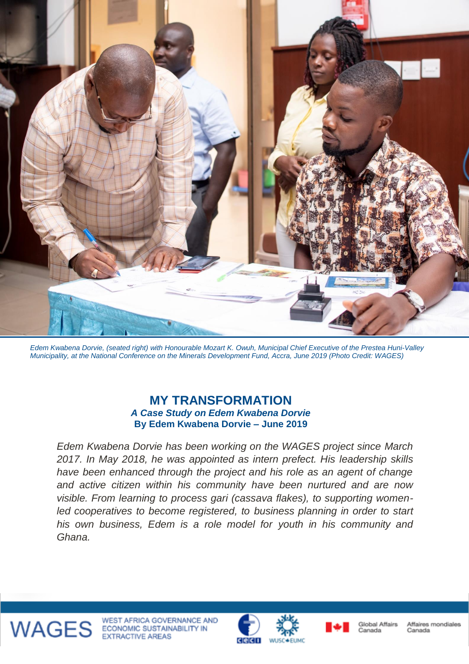

*Edem Kwabena Dorvie, (seated right) with Honourable Mozart K. Owuh, Municipal Chief Executive of the Prestea Huni-Valley Municipality, at the National Conference on the Minerals Development Fund, Accra, June 2019 (Photo Credit: WAGES)*

## **MY TRANSFORMATION** *A Case Study on Edem Kwabena Dorvie* **By Edem Kwabena Dorvie – June 2019**

*Edem Kwabena Dorvie has been working on the WAGES project since March 2017. In May 2018, he was appointed as intern prefect. His leadership skills have been enhanced through the project and his role as an agent of change and active citizen within his community have been nurtured and are now visible. From learning to process gari (cassava flakes), to supporting womenled cooperatives to become registered, to business planning in order to start his own business, Edem is a role model for youth in his community and Ghana.*



WAGES ECONOMIC SUSTAINABILITY IN WEST AFRICA GOVERNANCE AND







Affaires mondiales Canada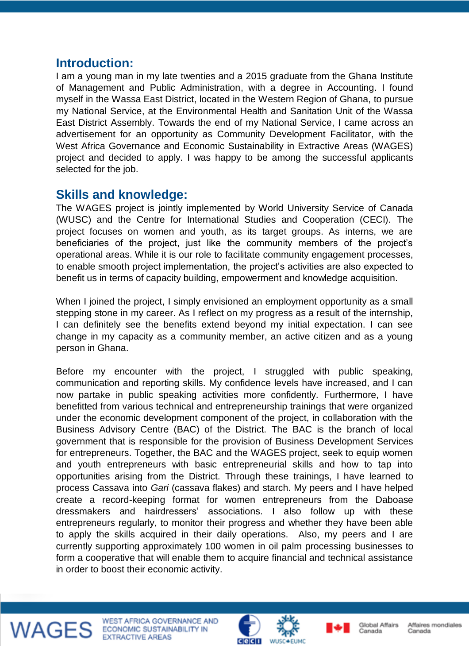## **Introduction:**

I am a young man in my late twenties and a 2015 graduate from the Ghana Institute of Management and Public Administration, with a degree in Accounting. I found myself in the Wassa East District, located in the Western Region of Ghana, to pursue my National Service, at the Environmental Health and Sanitation Unit of the Wassa East District Assembly. Towards the end of my National Service, I came across an advertisement for an opportunity as Community Development Facilitator, with the West Africa Governance and Economic Sustainability in Extractive Areas (WAGES) project and decided to apply. I was happy to be among the successful applicants selected for the job.

## **Skills and knowledge:**

The WAGES project is jointly implemented by World University Service of Canada (WUSC) and the Centre for International Studies and Cooperation (CECI). The project focuses on women and youth, as its target groups. As interns, we are beneficiaries of the project, just like the community members of the project's operational areas. While it is our role to facilitate community engagement processes, to enable smooth project implementation, the project's activities are also expected to benefit us in terms of capacity building, empowerment and knowledge acquisition.

When I joined the project, I simply envisioned an employment opportunity as a small stepping stone in my career. As I reflect on my progress as a result of the internship, I can definitely see the benefits extend beyond my initial expectation. I can see change in my capacity as a community member, an active citizen and as a young person in Ghana.

Before my encounter with the project, I struggled with public speaking, communication and reporting skills. My confidence levels have increased, and I can now partake in public speaking activities more confidently. Furthermore, I have benefitted from various technical and entrepreneurship trainings that were organized under the economic development component of the project, in collaboration with the Business Advisory Centre (BAC) of the District. The BAC is the branch of local government that is responsible for the provision of Business Development Services for entrepreneurs. Together, the BAC and the WAGES project, seek to equip women and youth entrepreneurs with basic entrepreneurial skills and how to tap into opportunities arising from the District. Through these trainings, I have learned to process Cassava into *Gari* (cassava flakes) and starch. My peers and I have helped create a record-keeping format for women entrepreneurs from the Daboase dressmakers and hairdressers' associations. I also follow up with these entrepreneurs regularly, to monitor their progress and whether they have been able to apply the skills acquired in their daily operations. Also, my peers and I are currently supporting approximately 100 women in oil palm processing businesses to form a cooperative that will enable them to acquire financial and technical assistance in order to boost their economic activity.



WEST AFRICA GOVERNANCE AND ECONOMIC SUSTAINABILITY IN **EXTRACTIVE AREAS** 





Global Affairs Canada

Affaires mondiales Canada